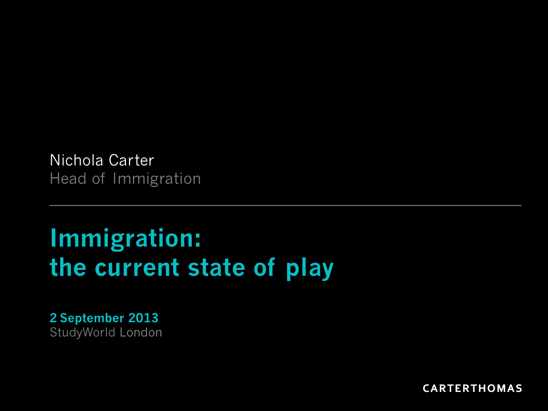Nichola Carter Head of Immigration

### **Immigration: the current state of play**

**2 September 2013**  StudyWorld London

**CARTERTHOMAS**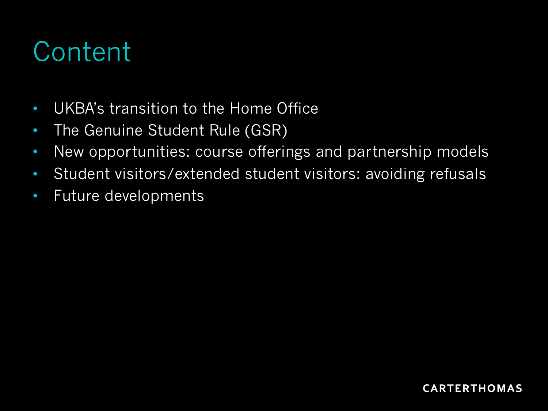## **Content**

- UKBA's transition to the Home Office
- The Genuine Student Rule (GSR)
- New opportunities: course offerings and partnership models
- Student visitors/extended student visitors: avoiding refusals
- Future developments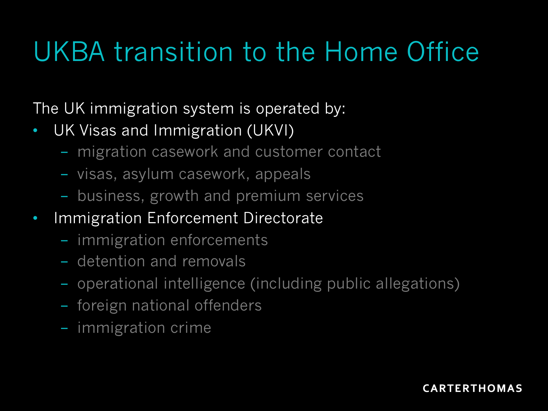# UKBA transition to the Home Office

The UK immigration system is operated by:

- UK Visas and Immigration (UKVI)
	- migration casework and customer contact
	- visas, asylum casework, appeals
	- business, growth and premium services
- Immigration Enforcement Directorate
	- immigration enforcements
	- detention and removals
	- operational intelligence (including public allegations)
	- foreign national offenders
	- immigration crime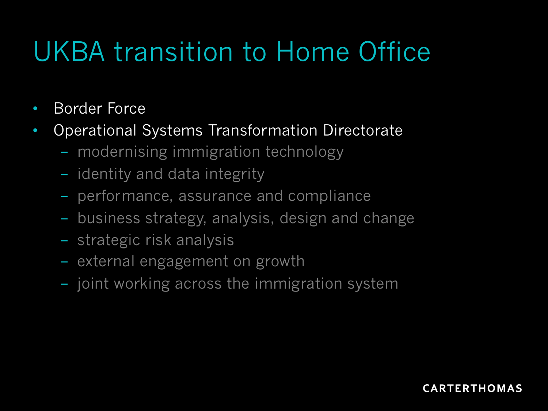# UKBA transition to Home Office

- Border Force
- Operational Systems Transformation Directorate
	- modernising immigration technology
	- identity and data integrity
	- performance, assurance and compliance
	- business strategy, analysis, design and change
	- strategic risk analysis
	- external engagement on growth
	- joint working across the immigration system

#### **CARTERTHOMAS**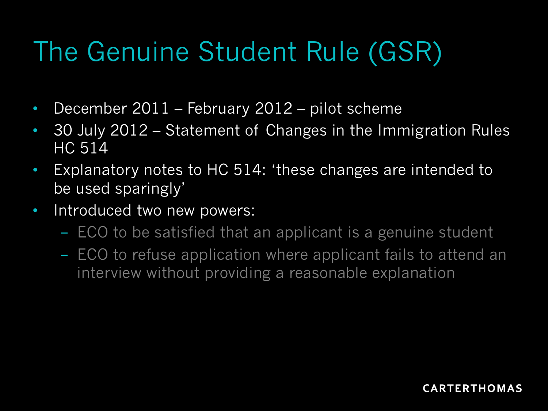# The Genuine Student Rule (GSR)

- December 2011 February 2012 pilot scheme
- 30 July 2012 Statement of Changes in the Immigration Rules HC 514
- Explanatory notes to HC 514: 'these changes are intended to be used sparingly'
- Introduced two new powers:
	- ECO to be satisfied that an applicant is a genuine student
	- ECO to refuse application where applicant fails to attend an interview without providing a reasonable explanation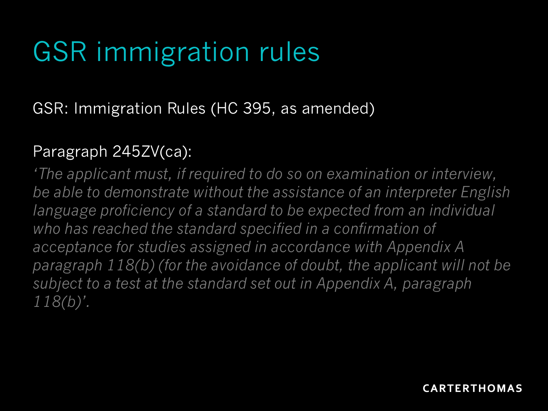# GSR immigration rules

### GSR: Immigration Rules (HC 395, as amended)

#### Paragraph 245ZV(ca):

*'The applicant must, if required to do so on examination or interview, be able to demonstrate without the assistance of an interpreter English language proficiency of a standard to be expected from an individual who has reached the standard specified in a confirmation of acceptance for studies assigned in accordance with Appendix A paragraph 118(b) (for the avoidance of doubt, the applicant will not be subject to a test at the standard set out in Appendix A, paragraph 118(b)'.*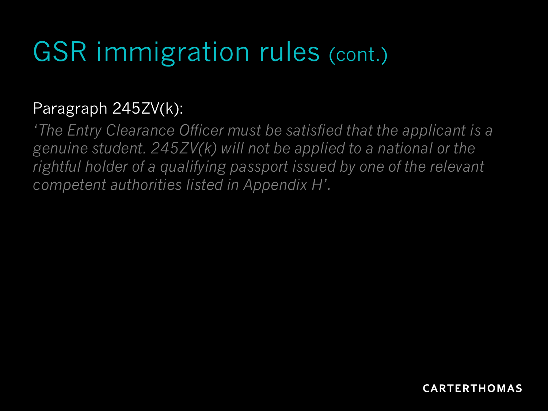# GSR immigration rules (cont.)

### Paragraph 245ZV(k):

*'The Entry Clearance Officer must be satisfied that the applicant is a genuine student. 245ZV(k) will not be applied to a national or the rightful holder of a qualifying passport issued by one of the relevant competent authorities listed in Appendix H'.*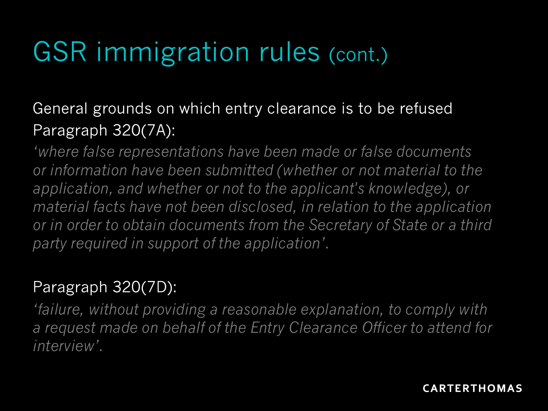# GSR immigration rules (cont.)

### General grounds on which entry clearance is to be refused Paragraph 320(7A):

*'where false representations have been made or false documents or information have been submitted (whether or not material to the application, and whether or not to the applicant's knowledge), or material facts have not been disclosed, in relation to the application or in order to obtain documents from the Secretary of State or a third party required in support of the application'.* 

### Paragraph 320(7D):

*'failure, without providing a reasonable explanation, to comply with a request made on behalf of the Entry Clearance Officer to attend for interview'.*

**CARTERTHOMAS**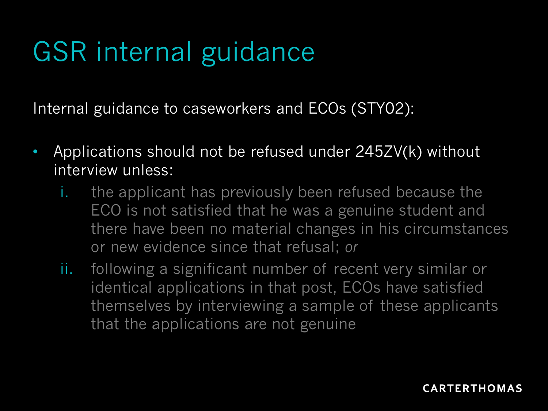# GSR internal guidance

Internal guidance to caseworkers and ECOs (STY02):

- Applications should not be refused under 245ZV(k) without interview unless:
	- i. the applicant has previously been refused because the ECO is not satisfied that he was a genuine student and there have been no material changes in his circumstances or new evidence since that refusal; *or*
	- ii. following a significant number of recent very similar or identical applications in that post, ECOs have satisfied themselves by interviewing a sample of these applicants that the applications are not genuine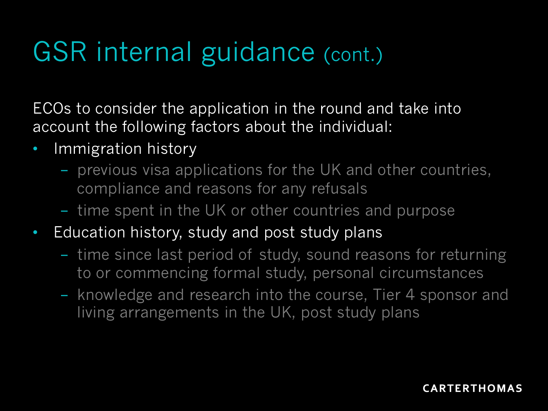ECOs to consider the application in the round and take into account the following factors about the individual:

- Immigration history
	- previous visa applications for the UK and other countries, compliance and reasons for any refusals
	- time spent in the UK or other countries and purpose
- Education history, study and post study plans
	- time since last period of study, sound reasons for returning to or commencing formal study, personal circumstances
	- knowledge and research into the course, Tier 4 sponsor and living arrangements in the UK, post study plans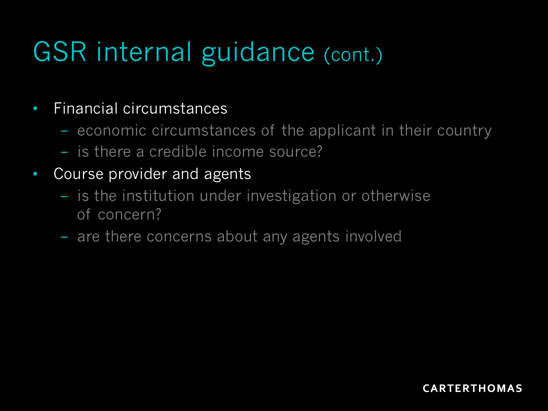### • Financial circumstances

- economic circumstances of the applicant in their country
- is there a credible income source?
- Course provider and agents
	- is the institution under investigation or otherwise of concern?
	- are there concerns about any agents involved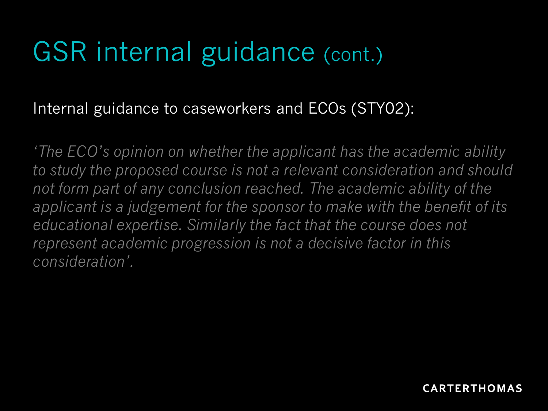### Internal guidance to caseworkers and ECOs (STY02):

*'The ECO's opinion on whether the applicant has the academic ability to study the proposed course is not a relevant consideration and should not form part of any conclusion reached. The academic ability of the applicant is a judgement for the sponsor to make with the benefit of its educational expertise. Similarly the fact that the course does not represent academic progression is not a decisive factor in this consideration'.*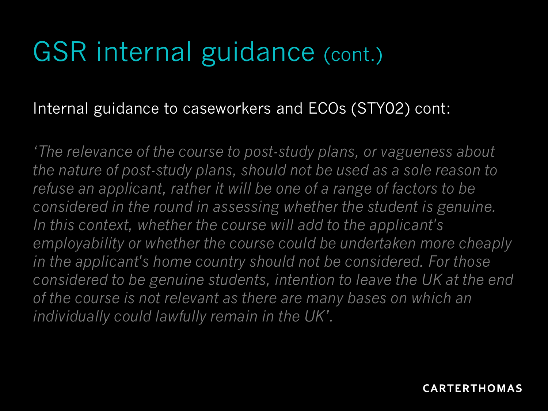### Internal guidance to caseworkers and ECOs (STY02) cont:

*'The relevance of the course to post-study plans, or vagueness about the nature of post-study plans, should not be used as a sole reason to refuse an applicant, rather it will be one of a range of factors to be considered in the round in assessing whether the student is genuine. In this context, whether the course will add to the applicant's employability or whether the course could be undertaken more cheaply in the applicant's home country should not be considered. For those considered to be genuine students, intention to leave the UK at the end of the course is not relevant as there are many bases on which an individually could lawfully remain in the UK'.*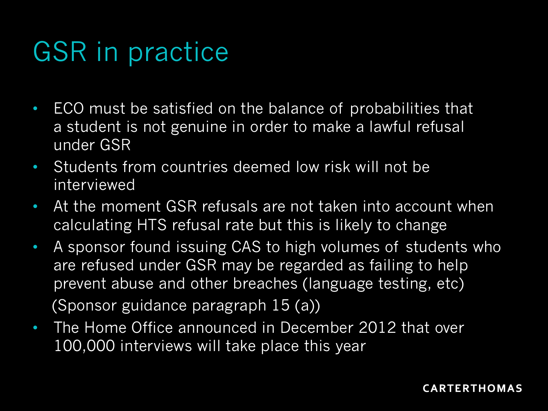# GSR in practice

- ECO must be satisfied on the balance of probabilities that a student is not genuine in order to make a lawful refusal under GSR
- Students from countries deemed low risk will not be interviewed
- At the moment GSR refusals are not taken into account when calculating HTS refusal rate but this is likely to change
- A sponsor found issuing CAS to high volumes of students who are refused under GSR may be regarded as failing to help prevent abuse and other breaches (language testing, etc) (Sponsor guidance paragraph 15 (a))
- The Home Office announced in December 2012 that over 100,000 interviews will take place this year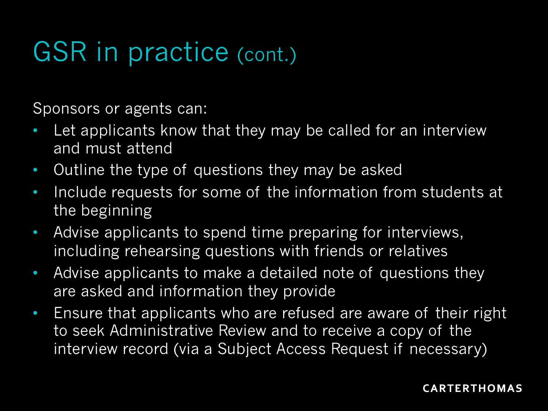# GSR in practice (cont.)

Sponsors or agents can:

- Let applicants know that they may be called for an interview and must attend
- Outline the type of questions they may be asked
- Include requests for some of the information from students at the beginning
- Advise applicants to spend time preparing for interviews, including rehearsing questions with friends or relatives
- Advise applicants to make a detailed note of questions they are asked and information they provide
- Ensure that applicants who are refused are aware of their right to seek Administrative Review and to receive a copy of the interview record (via a Subject Access Request if necessary)

#### **CARTERTHOMAS**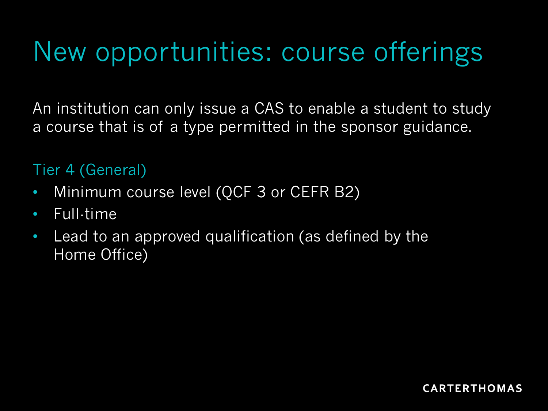# New opportunities: course offerings

An institution can only issue a CAS to enable a student to study a course that is of a type permitted in the sponsor guidance.

Tier 4 (General)

- Minimum course level (QCF 3 or CEFR B2)
- Full-time
- Lead to an approved qualification (as defined by the Home Office)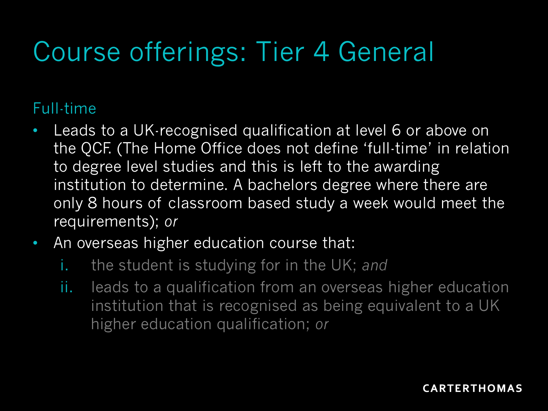# Course offerings: Tier 4 General

### Full-time

- Leads to a UK-recognised qualification at level 6 or above on the QCF. (The Home Office does not define 'full-time' in relation to degree level studies and this is left to the awarding institution to determine. A bachelors degree where there are only 8 hours of classroom based study a week would meet the requirements); *or*
- An overseas higher education course that:
	- i. the student is studying for in the UK; *and*
	- ii. leads to a qualification from an overseas higher education institution that is recognised as being equivalent to a UK higher education qualification; *or*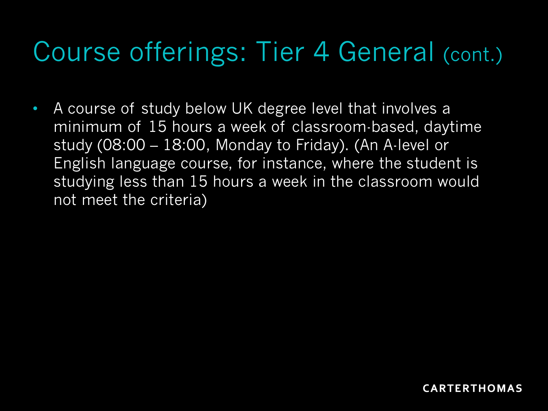• A course of study below UK degree level that involves a minimum of 15 hours a week of classroom-based, daytime study (08:00 – 18:00, Monday to Friday). (An A-level or English language course, for instance, where the student is studying less than 15 hours a week in the classroom would not meet the criteria)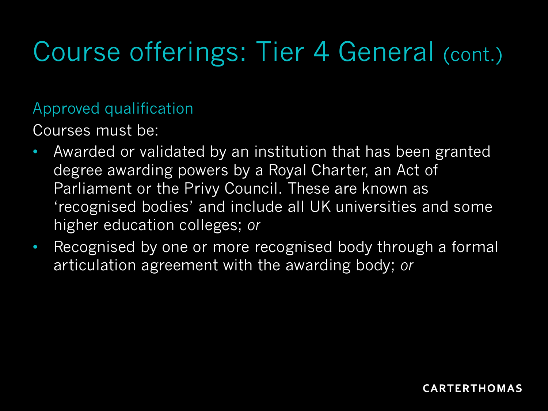#### Approved qualification

Courses must be:

- Awarded or validated by an institution that has been granted degree awarding powers by a Royal Charter, an Act of Parliament or the Privy Council. These are known as 'recognised bodies' and include all UK universities and some higher education colleges; *or*
- Recognised by one or more recognised body through a formal articulation agreement with the awarding body; *or*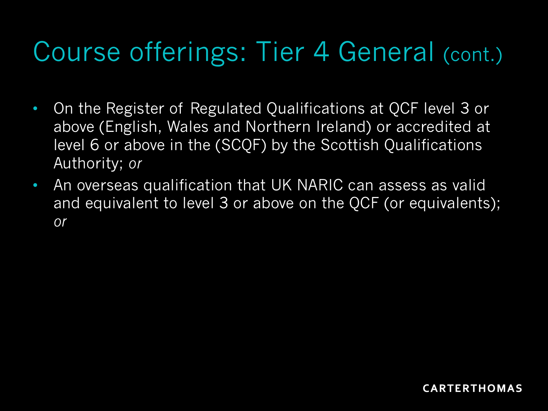- On the Register of Regulated Qualifications at QCF level 3 or above (English, Wales and Northern Ireland) or accredited at level 6 or above in the (SCQF) by the Scottish Qualifications Authority; *or*
- An overseas qualification that UK NARIC can assess as valid and equivalent to level 3 or above on the QCF (or equivalents); *or*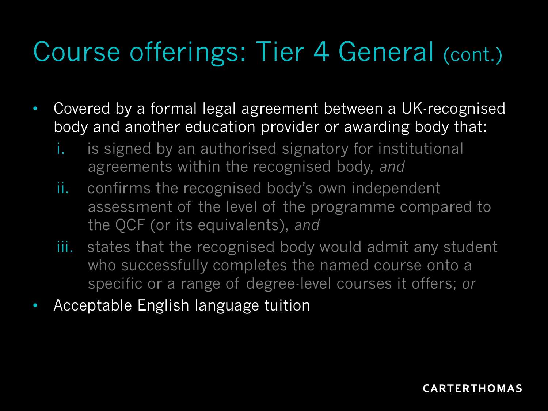- Covered by a formal legal agreement between a UK-recognised body and another education provider or awarding body that:
	- i. is signed by an authorised signatory for institutional agreements within the recognised body, *and*
	- ii. confirms the recognised body's own independent assessment of the level of the programme compared to the QCF (or its equivalents), *and*
	- iii. states that the recognised body would admit any student who successfully completes the named course onto a specific or a range of degree-level courses it offers; *or*
- Acceptable English language tuition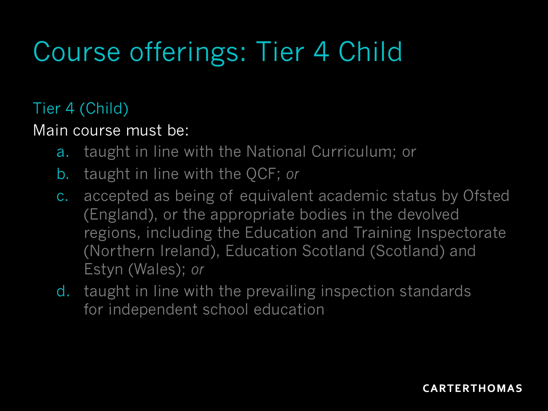# Course offerings: Tier 4 Child

### Tier 4 (Child)

### Main course must be:

- a. taught in line with the National Curriculum; or
- b. taught in line with the QCF; *or*
- c. accepted as being of equivalent academic status by Ofsted (England), or the appropriate bodies in the devolved regions, including the Education and Training Inspectorate (Northern Ireland), Education Scotland (Scotland) and Estyn (Wales); *or*
- d. taught in line with the prevailing inspection standards for independent school education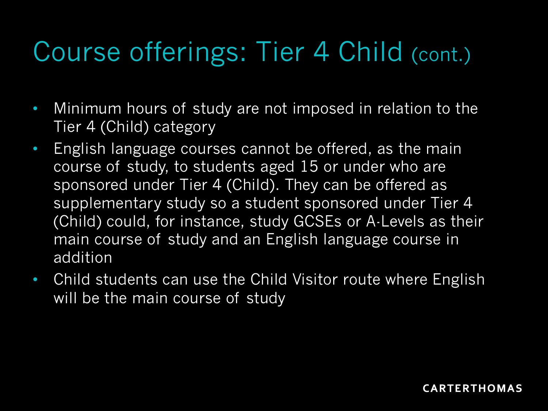# Course offerings: Tier 4 Child (cont.)

- Minimum hours of study are not imposed in relation to the Tier 4 (Child) category
- English language courses cannot be offered, as the main course of study, to students aged 15 or under who are sponsored under Tier 4 (Child). They can be offered as supplementary study so a student sponsored under Tier 4 (Child) could, for instance, study GCSEs or A-Levels as their main course of study and an English language course in addition
- Child students can use the Child Visitor route where English will be the main course of study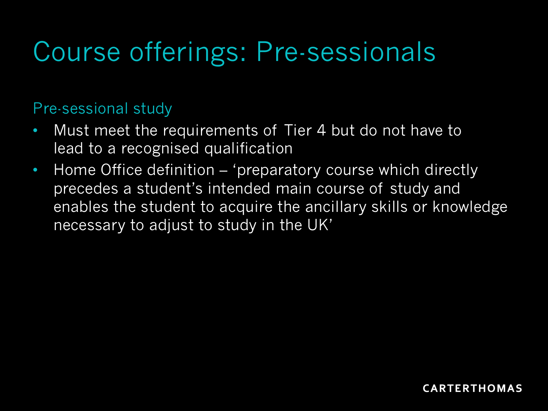# Course offerings: Pre-sessionals

#### Pre-sessional study

- Must meet the requirements of Tier 4 but do not have to lead to a recognised qualification
- Home Office definition 'preparatory course which directly precedes a student's intended main course of study and enables the student to acquire the ancillary skills or knowledge necessary to adjust to study in the UK'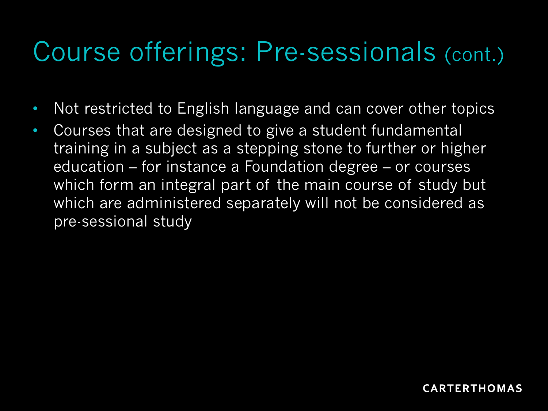### Course offerings: Pre-sessionals (cont.)

- Not restricted to English language and can cover other topics
- Courses that are designed to give a student fundamental training in a subject as a stepping stone to further or higher education – for instance a Foundation degree – or courses which form an integral part of the main course of study but which are administered separately will not be considered as pre-sessional study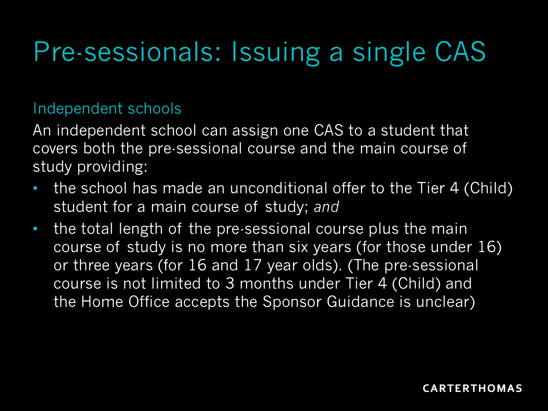# Pre-sessionals: Issuing a single CAS

#### Independent schools

An independent school can assign one CAS to a student that covers both the pre-sessional course and the main course of study providing:

- the school has made an unconditional offer to the Tier 4 (Child) student for a main course of study; *and*
- the total length of the pre-sessional course plus the main course of study is no more than six years (for those under 16) or three years (for 16 and 17 year olds). (The pre-sessional course is not limited to 3 months under Tier 4 (Child) and the Home Office accepts the Sponsor Guidance is unclear)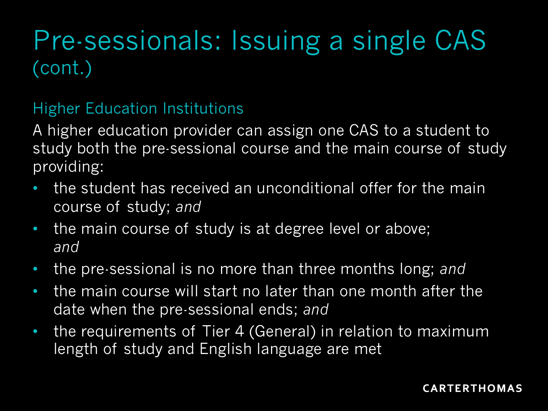### Pre-sessionals: Issuing a single CAS (cont.)

### Higher Education Institutions

A higher education provider can assign one CAS to a student to study both the pre-sessional course and the main course of study providing:

- the student has received an unconditional offer for the main course of study; *and*
- the main course of study is at degree level or above; *and*
- the pre-sessional is no more than three months long; *and*
- the main course will start no later than one month after the date when the pre-sessional ends; *and*
- the requirements of Tier 4 (General) in relation to maximum length of study and English language are met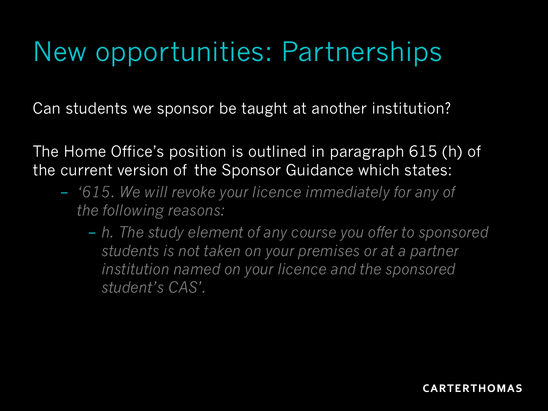# New opportunities: Partnerships

Can students we sponsor be taught at another institution?

The Home Office's position is outlined in paragraph 615 (h) of the current version of the Sponsor Guidance which states:

- *'615. We will revoke your licence immediately for any of the following reasons:*
	- *h. The study element of any course you offer to sponsored students is not taken on your premises or at a partner institution named on your licence and the sponsored student's CAS'.*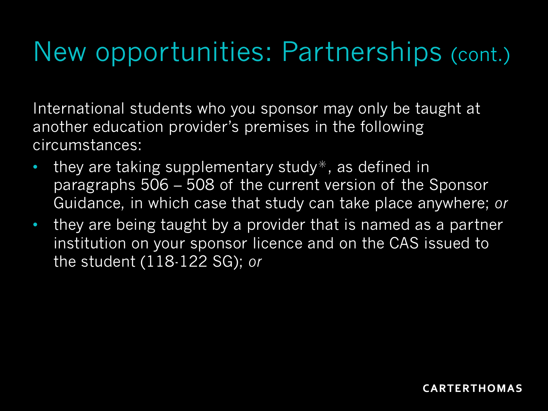# New opportunities: Partnerships (cont.)

International students who you sponsor may only be taught at another education provider's premises in the following circumstances:

- they are taking supplementary study $*$ , as defined in paragraphs 506 – 508 of the current version of the Sponsor Guidance, in which case that study can take place anywhere; *or*
- they are being taught by a provider that is named as a partner institution on your sponsor licence and on the CAS issued to the student (118-122 SG); *or*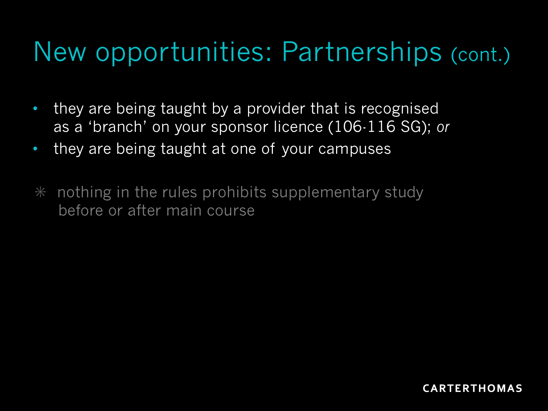## New opportunities: Partnerships (cont.)

- they are being taught by a provider that is recognised as a 'branch' on your sponsor licence (106-116 SG); *or*
- they are being taught at one of your campuses
- $*$  nothing in the rules prohibits supplementary study before or after main course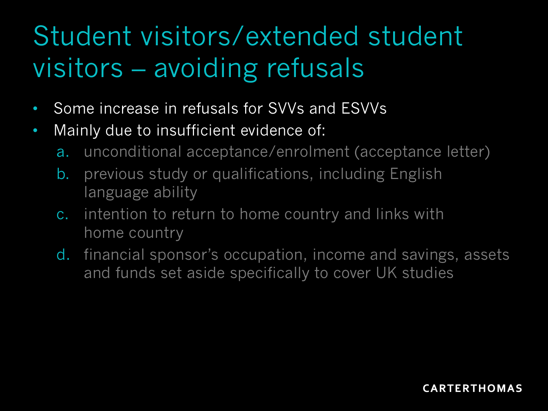# Student visitors/extended student visitors – avoiding refusals

- Some increase in refusals for SVVs and ESVVs
- Mainly due to insufficient evidence of:
	- a. unconditional acceptance/enrolment (acceptance letter)
	- b. previous study or qualifications, including English language ability
	- c. intention to return to home country and links with home country
	- d. financial sponsor's occupation, income and savings, assets and funds set aside specifically to cover UK studies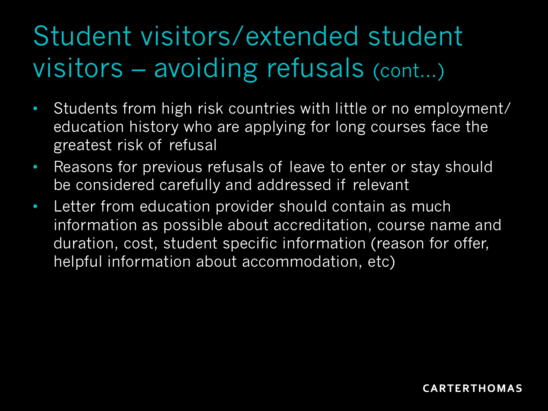# Student visitors/extended student visitors – avoiding refusals (cont...)

- Students from high risk countries with little or no employment/ education history who are applying for long courses face the greatest risk of refusal
- Reasons for previous refusals of leave to enter or stay should be considered carefully and addressed if relevant
- Letter from education provider should contain as much information as possible about accreditation, course name and duration, cost, student specific information (reason for offer, helpful information about accommodation, etc)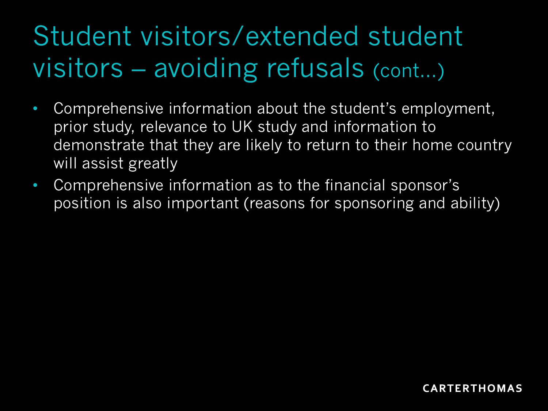# Student visitors/extended student visitors – avoiding refusals (cont...)

- Comprehensive information about the student's employment, prior study, relevance to UK study and information to demonstrate that they are likely to return to their home country will assist greatly
- Comprehensive information as to the financial sponsor's position is also important (reasons for sponsoring and ability)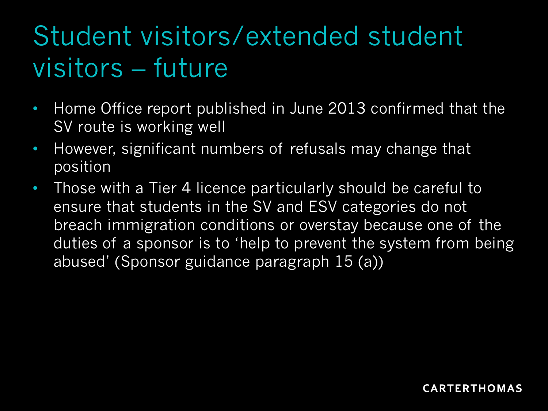# Student visitors/extended student visitors – future

- Home Office report published in June 2013 confirmed that the SV route is working well
- However, significant numbers of refusals may change that position
- Those with a Tier 4 licence particularly should be careful to ensure that students in the SV and ESV categories do not breach immigration conditions or overstay because one of the duties of a sponsor is to 'help to prevent the system from being abused' (Sponsor guidance paragraph 15 (a))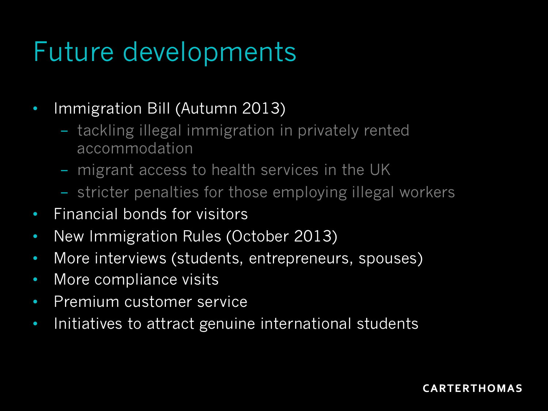# Future developments

• Immigration Bill (Autumn 2013)

- tackling illegal immigration in privately rented accommodation
- migrant access to health services in the UK
- stricter penalties for those employing illegal workers
- Financial bonds for visitors
- New Immigration Rules (October 2013)
- More interviews (students, entrepreneurs, spouses)
- More compliance visits
- Premium customer service
- Initiatives to attract genuine international students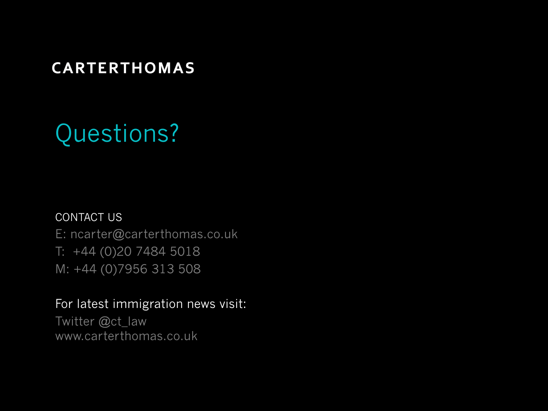#### **CARTERTHOMAS**

### Questions?

#### CONTACT US

E: ncarter@carterthomas.co.uk T: +44 (0)20 7484 5018 M: +44 (0)7956 313 508

#### For latest immigration news visit:

Twitter @ct\_law www.carterthomas.co.uk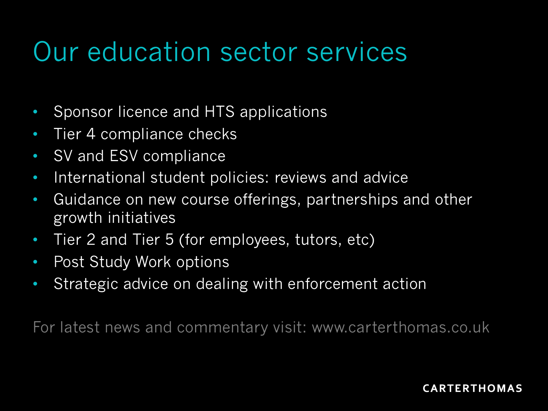### Our education sector services

- Sponsor licence and HTS applications
- Tier 4 compliance checks
- SV and ESV compliance
- International student policies: reviews and advice
- Guidance on new course offerings, partnerships and other growth initiatives
- Tier 2 and Tier 5 (for employees, tutors, etc)
- Post Study Work options
- Strategic advice on dealing with enforcement action

For latest news and commentary visit: www.carterthomas.co.uk

#### **CARTERTHOMAS**